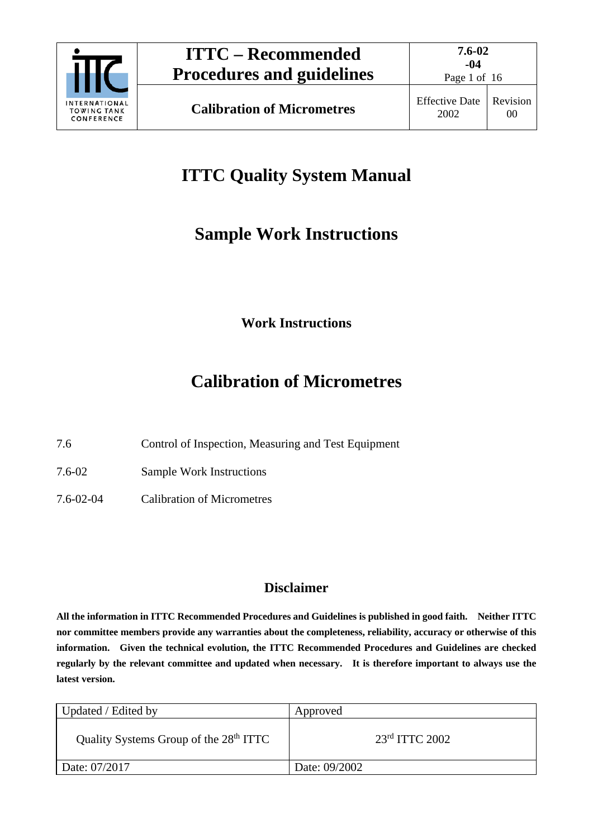

Page 1 of 16

# **ITTC Quality System Manual**

# **Sample Work Instructions**

**Work Instructions**

# **Calibration of Micrometres**

7.6 Control of Inspection, Measuring and Test Equipment

7.6-02 Sample Work Instructions

7.6-02-04 Calibration of Micrometres

# **Disclaimer**

**All the information in ITTC Recommended Procedures and Guidelines is published in good faith. Neither ITTC nor committee members provide any warranties about the completeness, reliability, accuracy or otherwise of this information. Given the technical evolution, the ITTC Recommended Procedures and Guidelines are checked regularly by the relevant committee and updated when necessary. It is therefore important to always use the latest version.**

| Updated / Edited by                                | Approved           |
|----------------------------------------------------|--------------------|
| Quality Systems Group of the 28 <sup>th</sup> ITTC | $23rd$ ITTC $2002$ |
| Date: 07/2017                                      | Date: 09/2002      |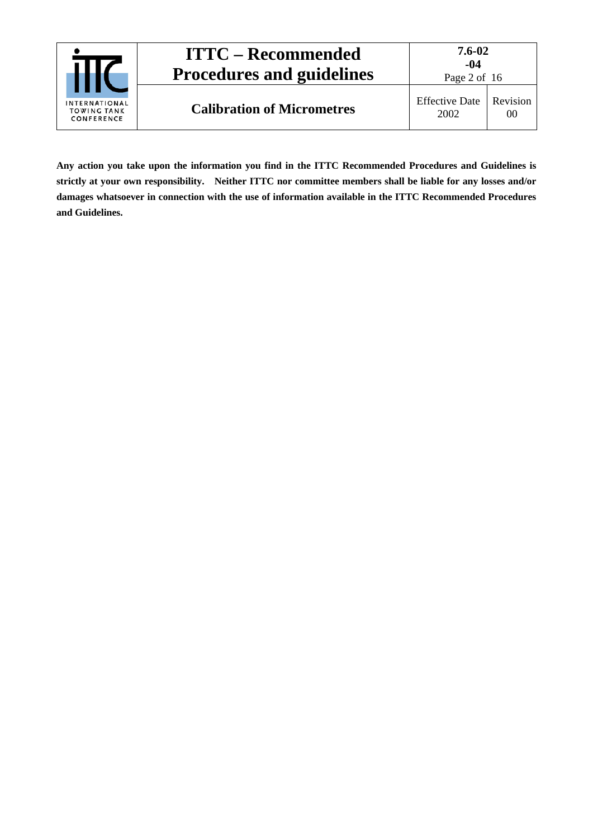| INTERNATIONAL<br><b>TOWING TANK</b><br>CONFERENCE | <b>ITTC – Recommended</b><br><b>Procedures and guidelines</b> | 7.6-02<br>-04<br>Page 2 of 16 |                |
|---------------------------------------------------|---------------------------------------------------------------|-------------------------------|----------------|
|                                                   | <b>Calibration of Micrometres</b>                             | <b>Effective Date</b><br>2002 | Revision<br>00 |

**Any action you take upon the information you find in the ITTC Recommended Procedures and Guidelines is strictly at your own responsibility. Neither ITTC nor committee members shall be liable for any losses and/or damages whatsoever in connection with the use of information available in the ITTC Recommended Procedures and Guidelines.**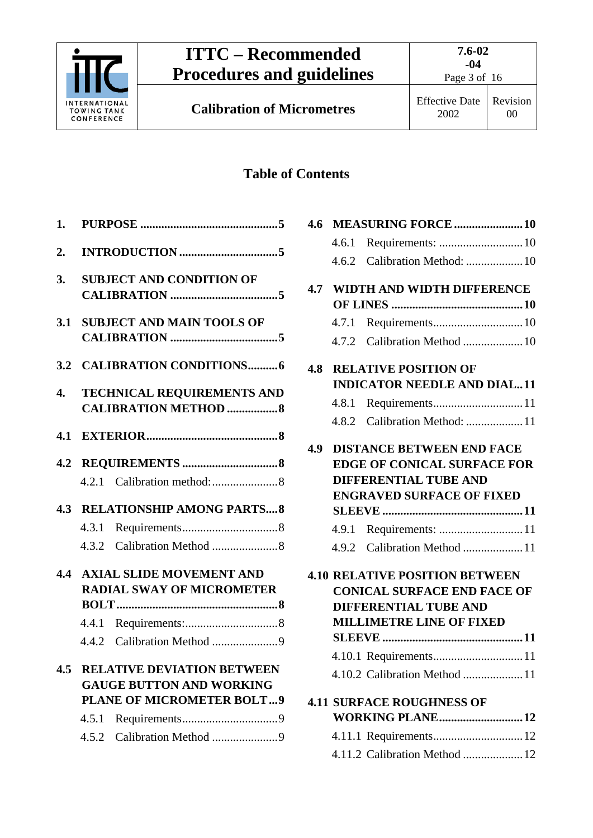

**Calibration of Micrometres** Effective Date

2002

# **Table of Contents**

| 1.  |                                                                                                                                                        |
|-----|--------------------------------------------------------------------------------------------------------------------------------------------------------|
| 2.  |                                                                                                                                                        |
| 3.  | <b>SUBJECT AND CONDITION OF</b>                                                                                                                        |
| 3.1 | <b>SUBJECT AND MAIN TOOLS OF</b>                                                                                                                       |
|     | 3.2 CALIBRATION CONDITIONS6                                                                                                                            |
| 4.  | <b>TECHNICAL REQUIREMENTS AND</b><br><b>CALIBRATION METHOD 8</b>                                                                                       |
| 4.1 |                                                                                                                                                        |
| 4.2 |                                                                                                                                                        |
|     | <b>4.3 RELATIONSHIP AMONG PARTS 8</b>                                                                                                                  |
|     |                                                                                                                                                        |
|     |                                                                                                                                                        |
|     | <b>4.4 AXIAL SLIDE MOVEMENT AND</b><br><b>RADIAL SWAY OF MICROMETER</b>                                                                                |
|     |                                                                                                                                                        |
|     |                                                                                                                                                        |
|     | <b>4.5 RELATIVE DEVIATION BETWEEN</b><br><b>GAUGE BUTTON AND WORKING</b><br><b>PLANE OF MICROMETER BOLT9</b><br>4.5.1<br>Calibration Method 9<br>4.5.2 |
|     |                                                                                                                                                        |

|     |       | 4.6.2 Calibration Method:  10         |  |
|-----|-------|---------------------------------------|--|
|     |       | <b>4.7 WIDTH AND WIDTH DIFFERENCE</b> |  |
|     |       |                                       |  |
|     | 4.7.1 |                                       |  |
|     |       |                                       |  |
| 4.8 |       | <b>RELATIVE POSITION OF</b>           |  |
|     |       | <b>INDICATOR NEEDLE AND DIAL11</b>    |  |
|     | 4.8.1 |                                       |  |
|     |       | 4.8.2 Calibration Method: 11          |  |
| 4.9 |       | <b>DISTANCE BETWEEN END FACE</b>      |  |
|     |       | <b>EDGE OF CONICAL SURFACE FOR</b>    |  |
|     |       | <b>DIFFERENTIAL TUBE AND</b>          |  |
|     |       | <b>ENGRAVED SURFACE OF FIXED</b>      |  |
|     |       |                                       |  |
|     |       | 4.9.1 Requirements: 11                |  |
|     |       | 4.9.2 Calibration Method 11           |  |
|     |       | <b>4.10 RELATIVE POSITION BETWEEN</b> |  |
|     |       | <b>CONICAL SURFACE END FACE OF</b>    |  |
|     |       | <b>DIFFERENTIAL TUBE AND</b>          |  |
|     |       | <b>MILLIMETRE LINE OF FIXED</b>       |  |
|     |       |                                       |  |
|     |       |                                       |  |
|     |       | 4.10.2 Calibration Method 11          |  |
|     |       | <b>4.11 SURFACE ROUGHNESS OF</b>      |  |
|     |       | WORKING PLANE12                       |  |
|     |       |                                       |  |
|     |       | 4.11.2 Calibration Method  12         |  |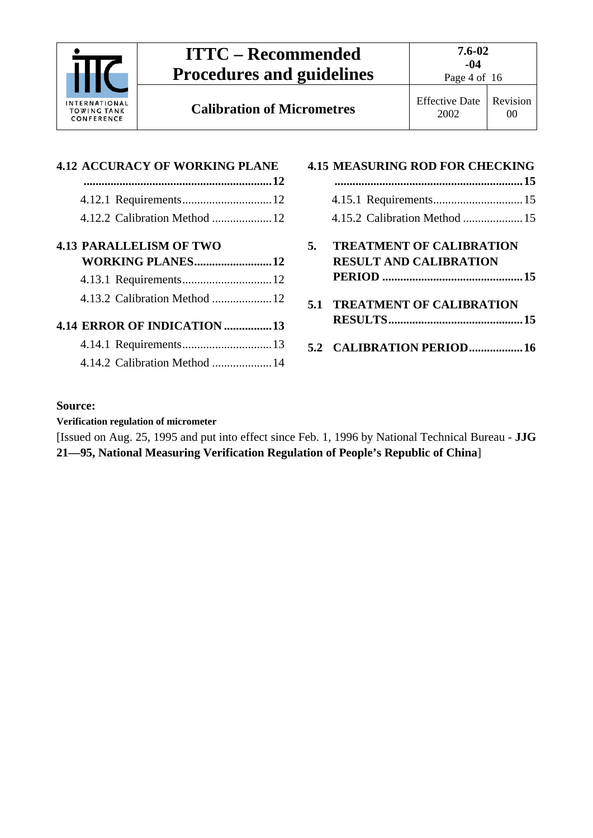

**Calibration of Micrometres** Effective Date

Page 4 of 16

2002 Revision 00

| <b>4.12 ACCURACY OF WORKING PLANE</b> |  |
|---------------------------------------|--|
|                                       |  |
|                                       |  |
|                                       |  |
| <b>4.13 PARALLELISM OF TWO</b>        |  |
| WORKING PLANES12                      |  |
|                                       |  |
|                                       |  |
| 4.14 ERROR OF INDICATION 13           |  |
|                                       |  |
| 4.14.2 Calibration Method 14          |  |

|    | <b>4.15 MEASURING ROD FOR CHECKING</b> |  |
|----|----------------------------------------|--|
|    |                                        |  |
|    |                                        |  |
|    |                                        |  |
| 5. | <b>TREATMENT OF CALIBRATION</b>        |  |
|    | <b>RESULT AND CALIBRATION</b>          |  |
|    |                                        |  |
|    | <b>5.1 TREATMENT OF CALIBRATION</b>    |  |
|    |                                        |  |
|    | 5.2 CALIBRATION PERIOD16               |  |

#### **Source:**

**Verification regulation of micrometer**

[Issued on Aug. 25, 1995 and put into effect since Feb. 1, 1996 by National Technical Bureau - **JJG 21—95, National Measuring Verification Regulation of People's Republic of China**]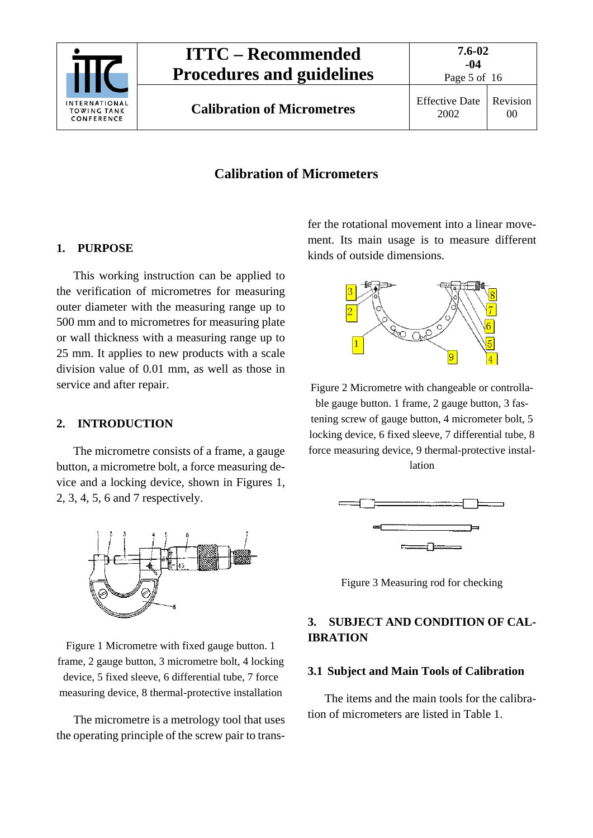

**Calibration of Micrometres** Effective Date

Page 5 of 16

## **Calibration of Micrometers**

#### <span id="page-4-0"></span>**1. PURPOSE**

This working instruction can be applied to the verification of micrometres for measuring outer diameter with the measuring range up to 500 mm and to micrometres for measuring plate or wall thickness with a measuring range up to 25 mm. It applies to new products with a scale division value of 0.01 mm, as well as those in service and after repair.

#### <span id="page-4-1"></span>**2. INTRODUCTION**

The micrometre consists of a frame, a gauge button, a micrometre bolt, a force measuring device and a locking device, shown in Figures 1, 2, 3, 4, 5, 6 and 7 respectively.



Figure 1 Micrometre with fixed gauge button. 1 frame, 2 gauge button, 3 micrometre bolt, 4 locking device, 5 fixed sleeve, 6 differential tube, 7 force measuring device, 8 thermal-protective installation

The micrometre is a metrology tool that uses the operating principle of the screw pair to transfer the rotational movement into a linear movement. Its main usage is to measure different kinds of outside dimensions.



Figure 2 Micrometre with changeable or controllable gauge button. 1 frame, 2 gauge button, 3 fastening screw of gauge button, 4 micrometer bolt, 5 locking device, 6 fixed sleeve, 7 differential tube, 8 force measuring device, 9 thermal-protective installation



Figure 3 Measuring rod for checking

### <span id="page-4-2"></span>**3. SUBJECT AND CONDITION OF CAL-IBRATION**

#### <span id="page-4-3"></span>**3.1 Subject and Main Tools of Calibration**

The items and the main tools for the calibration of micrometers are listed in Table 1.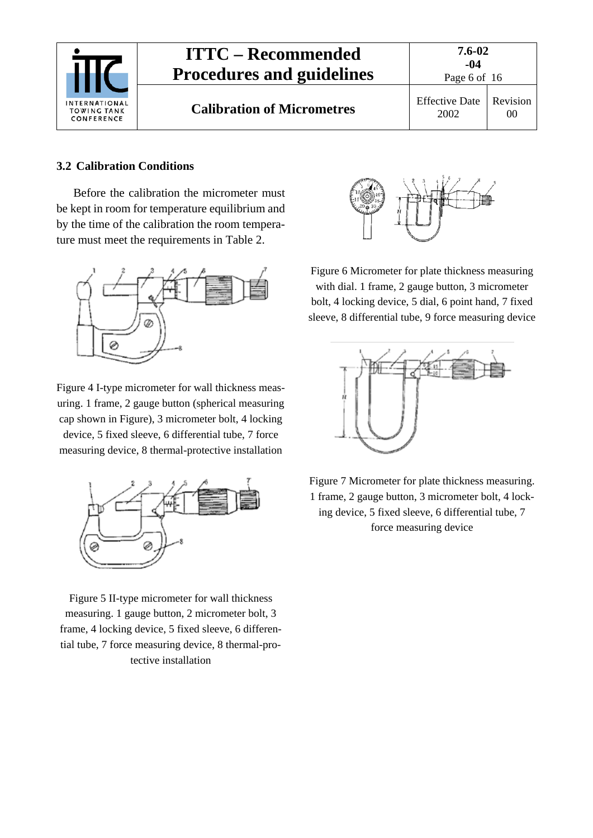

#### <span id="page-5-0"></span>**3.2 Calibration Conditions**

Before the calibration the micrometer must be kept in room for temperature equilibrium and by the time of the calibration the room temperature must meet the requirements in Table 2.



Figure 4 I-type micrometer for wall thickness measuring. 1 frame, 2 gauge button (spherical measuring cap shown in Figure), 3 micrometer bolt, 4 locking device, 5 fixed sleeve, 6 differential tube, 7 force measuring device, 8 thermal-protective installation



Figure 5 II-type micrometer for wall thickness measuring. 1 gauge button, 2 micrometer bolt, 3 frame, 4 locking device, 5 fixed sleeve, 6 differential tube, 7 force measuring device, 8 thermal-protective installation



Figure 6 Micrometer for plate thickness measuring with dial. 1 frame, 2 gauge button, 3 micrometer bolt, 4 locking device, 5 dial, 6 point hand, 7 fixed sleeve, 8 differential tube, 9 force measuring device



Figure 7 Micrometer for plate thickness measuring. 1 frame, 2 gauge button, 3 micrometer bolt, 4 locking device, 5 fixed sleeve, 6 differential tube, 7 force measuring device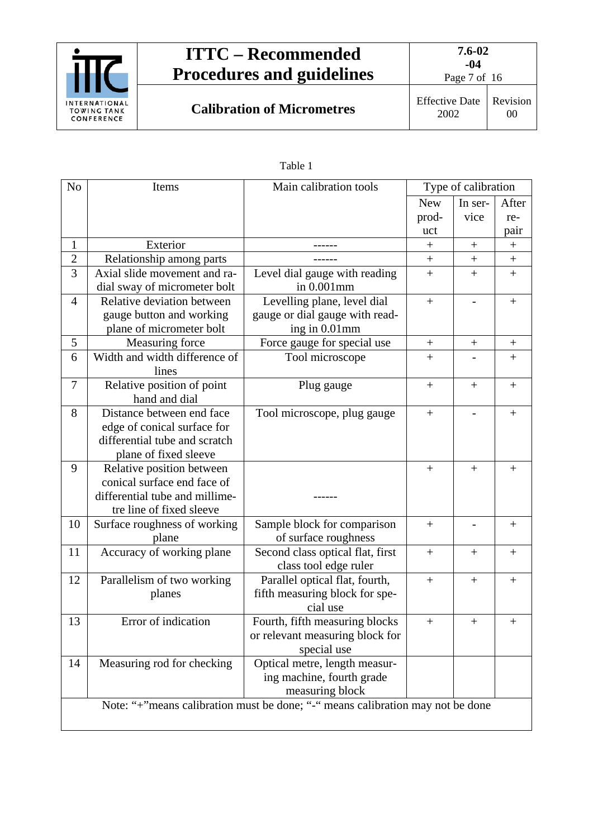

**Calibration of Micrometres** Effective Date

Page 7 of 16

| anle |  |
|------|--|
|------|--|

| N <sub>o</sub> | Items                          | Main calibration tools                                                         |            | Type of calibration |                  |
|----------------|--------------------------------|--------------------------------------------------------------------------------|------------|---------------------|------------------|
|                |                                |                                                                                | <b>New</b> | In ser-             | After            |
|                |                                |                                                                                | prod-      | vice                | re-              |
|                |                                |                                                                                | uct        |                     | pair             |
| $\mathbf{1}$   | Exterior                       |                                                                                | $^+$       | $\! +$              | $\boldsymbol{+}$ |
| $\overline{c}$ | Relationship among parts       |                                                                                | $^{+}$     | $\! + \!$           | $\! + \!$        |
| $\overline{3}$ | Axial slide movement and ra-   | Level dial gauge with reading                                                  | $\! +$     | $+$                 | $\ddot{}$        |
|                | dial sway of micrometer bolt   | in 0.001mm                                                                     |            |                     |                  |
| 4              | Relative deviation between     | Levelling plane, level dial                                                    |            | $\qquad \qquad -$   | $^{+}$           |
|                | gauge button and working       | gauge or dial gauge with read-                                                 |            |                     |                  |
|                | plane of micrometer bolt       | ing in 0.01mm                                                                  |            |                     |                  |
| 5              | Measuring force                | Force gauge for special use                                                    | $^{+}$     | $^{+}$              | $\! + \!$        |
| 6              | Width and width difference of  | Tool microscope                                                                | $+$        |                     | $+$              |
|                | lines                          |                                                                                |            |                     |                  |
| $\overline{7}$ | Relative position of point     | Plug gauge                                                                     |            | $^{+}$              | $^{+}$           |
|                | hand and dial                  |                                                                                |            |                     |                  |
| 8              | Distance between end face      | Tool microscope, plug gauge                                                    | $^{+}$     |                     | $^{+}$           |
|                | edge of conical surface for    |                                                                                |            |                     |                  |
|                | differential tube and scratch  |                                                                                |            |                     |                  |
|                | plane of fixed sleeve          |                                                                                |            |                     |                  |
| 9              | Relative position between      |                                                                                | $\! +$     | $^{+}$              |                  |
|                | conical surface end face of    |                                                                                |            |                     |                  |
|                | differential tube and millime- |                                                                                |            |                     |                  |
|                | tre line of fixed sleeve       |                                                                                |            |                     |                  |
| 10             | Surface roughness of working   | Sample block for comparison                                                    | $+$        |                     | $^{+}$           |
|                | plane                          | of surface roughness                                                           |            |                     |                  |
| 11             | Accuracy of working plane      | Second class optical flat, first                                               | $^{+}$     | $^{+}$              | $^{+}$           |
|                |                                | class tool edge ruler                                                          |            |                     |                  |
| 12             | Parallelism of two working     | Parallel optical flat, fourth,                                                 | $^{+}$     | $^{+}$              | $^{+}$           |
|                | planes                         | fifth measuring block for spe-                                                 |            |                     |                  |
|                |                                | cial use                                                                       |            |                     |                  |
| 13             | Error of indication            | Fourth, fifth measuring blocks                                                 | $\! + \!$  | $\boldsymbol{+}$    | $^{+}$           |
|                |                                | or relevant measuring block for                                                |            |                     |                  |
|                |                                | special use                                                                    |            |                     |                  |
| 14             | Measuring rod for checking     | Optical metre, length measur-                                                  |            |                     |                  |
|                |                                | ing machine, fourth grade                                                      |            |                     |                  |
|                |                                | measuring block                                                                |            |                     |                  |
|                |                                | Note: "+"means calibration must be done; "-" means calibration may not be done |            |                     |                  |
|                |                                |                                                                                |            |                     |                  |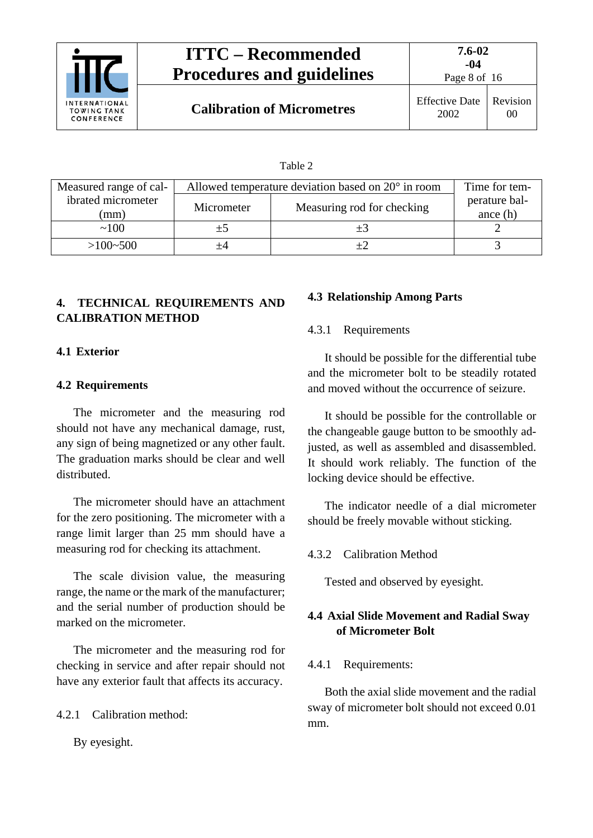

Page 8 of 16

00

**Calibration of Micrometres** Effective Date

| anie |  |
|------|--|
|------|--|

| Measured range of cal- | Allowed temperature deviation based on $20^{\circ}$ in room |                            | Time for tem- |
|------------------------|-------------------------------------------------------------|----------------------------|---------------|
| ibrated micrometer     | Micrometer                                                  | Measuring rod for checking | perature bal- |
| (mm                    |                                                             |                            | ance $(h)$    |
| ~100                   | $+5$                                                        |                            |               |
| $>100-500$             | +4                                                          |                            |               |

# <span id="page-7-0"></span>**4. TECHNICAL REQUIREMENTS AND CALIBRATION METHOD**

### <span id="page-7-2"></span><span id="page-7-1"></span>**4.1 Exterior**

### **4.2 Requirements**

The micrometer and the measuring rod should not have any mechanical damage, rust, any sign of being magnetized or any other fault. The graduation marks should be clear and well distributed.

The micrometer should have an attachment for the zero positioning. The micrometer with a range limit larger than 25 mm should have a measuring rod for checking its attachment.

The scale division value, the measuring range, the name or the mark of the manufacturer; and the serial number of production should be marked on the micrometer.

The micrometer and the measuring rod for checking in service and after repair should not have any exterior fault that affects its accuracy.

<span id="page-7-3"></span>4.2.1 Calibration method:

By eyesight.

### <span id="page-7-5"></span><span id="page-7-4"></span>**4.3 Relationship Among Parts**

### 4.3.1 Requirements

It should be possible for the differential tube and the micrometer bolt to be steadily rotated and moved without the occurrence of seizure.

It should be possible for the controllable or the changeable gauge button to be smoothly adjusted, as well as assembled and disassembled. It should work reliably. The function of the locking device should be effective.

The indicator needle of a dial micrometer should be freely movable without sticking.

### <span id="page-7-6"></span>4.3.2 Calibration Method

Tested and observed by eyesight.

### <span id="page-7-7"></span>**4.4 Axial Slide Movement and Radial Sway of Micrometer Bolt**

### <span id="page-7-8"></span>4.4.1 Requirements:

Both the axial slide movement and the radial sway of micrometer bolt should not exceed 0.01 mm.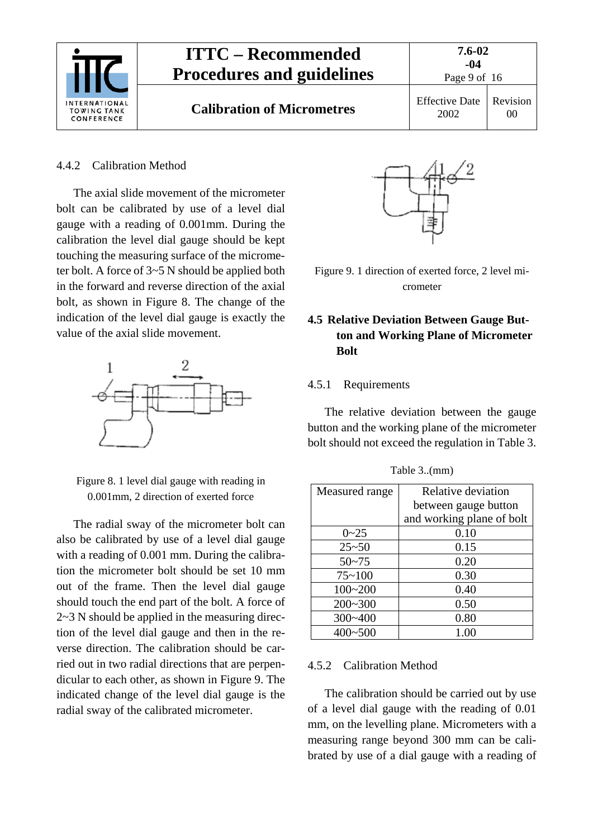

#### <span id="page-8-0"></span>4.4.2 Calibration Method

The axial slide movement of the micrometer bolt can be calibrated by use of a level dial gauge with a reading of 0.001mm. During the calibration the level dial gauge should be kept touching the measuring surface of the micrometer bolt. A force of 3~5 N should be applied both in the forward and reverse direction of the axial bolt, as shown in Figure 8. The change of the indication of the level dial gauge is exactly the value of the axial slide movement.



Figure 8. 1 level dial gauge with reading in 0.001mm, 2 direction of exerted force

The radial sway of the micrometer bolt can also be calibrated by use of a level dial gauge with a reading of 0.001 mm. During the calibration the micrometer bolt should be set 10 mm out of the frame. Then the level dial gauge should touch the end part of the bolt. A force of 2~3 N should be applied in the measuring direction of the level dial gauge and then in the reverse direction. The calibration should be carried out in two radial directions that are perpendicular to each other, as shown in Figure 9. The indicated change of the level dial gauge is the radial sway of the calibrated micrometer.



Figure 9. 1 direction of exerted force, 2 level micrometer

### <span id="page-8-1"></span>**4.5 Relative Deviation Between Gauge Button and Working Plane of Micrometer Bolt**

#### <span id="page-8-2"></span>4.5.1 Requirements

The relative deviation between the gauge button and the working plane of the micrometer bolt should not exceed the regulation in Table 3.

| Measured range | Relative deviation        |
|----------------|---------------------------|
|                | between gauge button      |
|                | and working plane of bolt |
| $0 - 25$       | 0.10                      |
| $25 - 50$      | 0.15                      |
| $50 - 75$      | 0.20                      |
| $75 - 100$     | 0.30                      |
| $100 - 200$    | 0.40                      |
| $200 - 300$    | 0.50                      |
| $300 - 400$    | 0.80                      |
| $400 - 500$    | 1.00                      |

Table 3..(mm)

#### <span id="page-8-3"></span>4.5.2 Calibration Method

The calibration should be carried out by use of a level dial gauge with the reading of 0.01 mm, on the levelling plane. Micrometers with a measuring range beyond 300 mm can be calibrated by use of a dial gauge with a reading of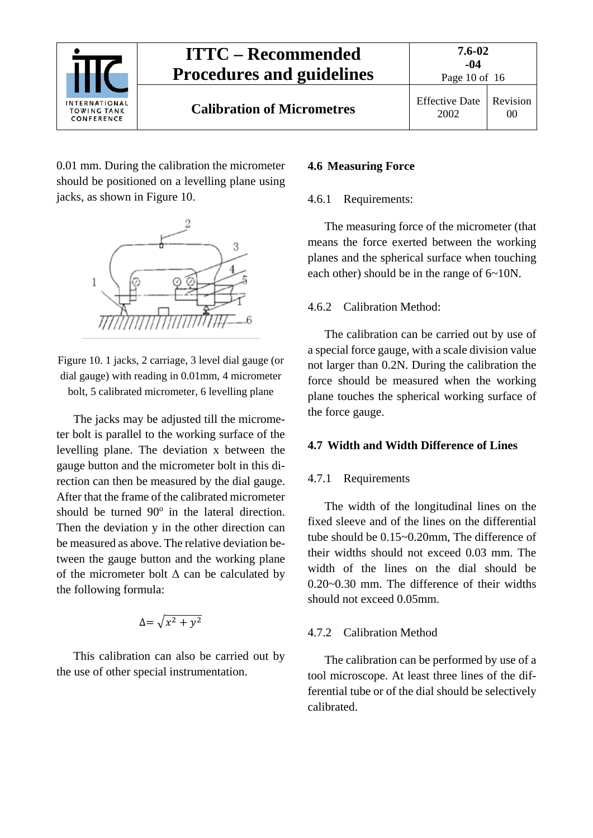

0.01 mm. During the calibration the micrometer should be positioned on a levelling plane using jacks, as shown in Figure 10.



Figure 10. 1 jacks, 2 carriage, 3 level dial gauge (or dial gauge) with reading in 0.01mm, 4 micrometer bolt, 5 calibrated micrometer, 6 levelling plane

The jacks may be adjusted till the micrometer bolt is parallel to the working surface of the levelling plane. The deviation x between the gauge button and the micrometer bolt in this direction can then be measured by the dial gauge. After that the frame of the calibrated micrometer should be turned  $90^\circ$  in the lateral direction. Then the deviation y in the other direction can be measured as above. The relative deviation between the gauge button and the working plane of the micrometer bolt  $\Delta$  can be calculated by the following formula:

$$
\Delta = \sqrt{x^2 + y^2}
$$

This calibration can also be carried out by the use of other special instrumentation.

#### <span id="page-9-1"></span><span id="page-9-0"></span>**4.6 Measuring Force**

#### 4.6.1 Requirements:

The measuring force of the micrometer (that means the force exerted between the working planes and the spherical surface when touching each other) should be in the range of 6~10N.

#### <span id="page-9-2"></span>4.6.2 Calibration Method:

The calibration can be carried out by use of a special force gauge, with a scale division value not larger than 0.2N. During the calibration the force should be measured when the working plane touches the spherical working surface of the force gauge.

#### <span id="page-9-4"></span><span id="page-9-3"></span>**4.7 Width and Width Difference of Lines**

#### 4.7.1 Requirements

The width of the longitudinal lines on the fixed sleeve and of the lines on the differential tube should be 0.15~0.20mm, The difference of their widths should not exceed 0.03 mm. The width of the lines on the dial should be 0.20~0.30 mm. The difference of their widths should not exceed 0.05mm.

#### <span id="page-9-5"></span>4.7.2 Calibration Method

The calibration can be performed by use of a tool microscope. At least three lines of the differential tube or of the dial should be selectively calibrated.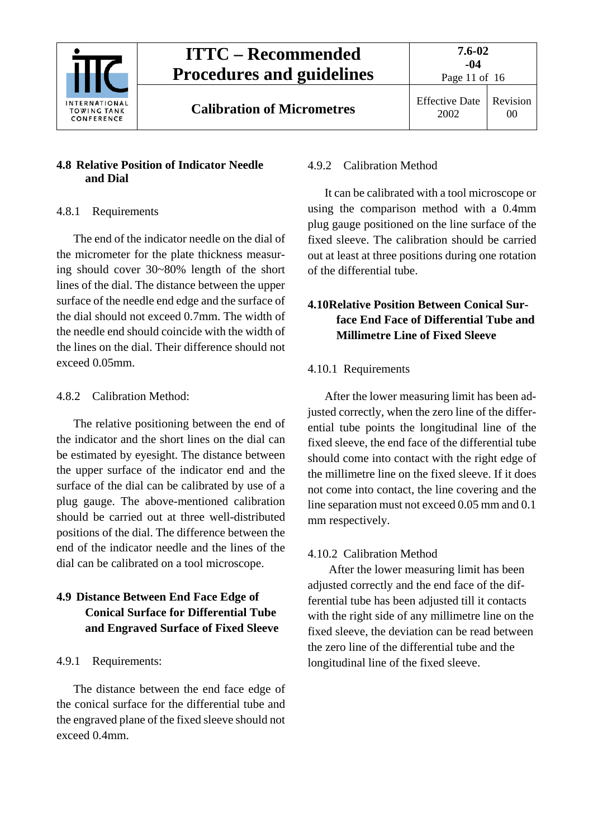

# <span id="page-10-0"></span>**4.8 Relative Position of Indicator Needle and Dial**

# <span id="page-10-1"></span>4.8.1 Requirements

The end of the indicator needle on the dial of the micrometer for the plate thickness measuring should cover 30~80% length of the short lines of the dial. The distance between the upper surface of the needle end edge and the surface of the dial should not exceed 0.7mm. The width of the needle end should coincide with the width of the lines on the dial. Their difference should not exceed 0.05mm.

# <span id="page-10-2"></span>4.8.2 Calibration Method:

The relative positioning between the end of the indicator and the short lines on the dial can be estimated by eyesight. The distance between the upper surface of the indicator end and the surface of the dial can be calibrated by use of a plug gauge. The above-mentioned calibration should be carried out at three well-distributed positions of the dial. The difference between the end of the indicator needle and the lines of the dial can be calibrated on a tool microscope.

# <span id="page-10-3"></span>**4.9 Distance Between End Face Edge of Conical Surface for Differential Tube and Engraved Surface of Fixed Sleeve**

# <span id="page-10-4"></span>4.9.1 Requirements:

The distance between the end face edge of the conical surface for the differential tube and the engraved plane of the fixed sleeve should not exceed 0.4mm.

# <span id="page-10-5"></span>4.9.2 Calibration Method

It can be calibrated with a tool microscope or using the comparison method with a 0.4mm plug gauge positioned on the line surface of the fixed sleeve. The calibration should be carried out at least at three positions during one rotation of the differential tube.

# <span id="page-10-6"></span>**4.10Relative Position Between Conical Surface End Face of Differential Tube and Millimetre Line of Fixed Sleeve**

# <span id="page-10-7"></span>4.10.1 Requirements

After the lower measuring limit has been adjusted correctly, when the zero line of the differential tube points the longitudinal line of the fixed sleeve, the end face of the differential tube should come into contact with the right edge of the millimetre line on the fixed sleeve. If it does not come into contact, the line covering and the line separation must not exceed 0.05 mm and 0.1 mm respectively.

# <span id="page-10-8"></span>4.10.2 Calibration Method

After the lower measuring limit has been adjusted correctly and the end face of the differential tube has been adjusted till it contacts with the right side of any millimetre line on the fixed sleeve, the deviation can be read between the zero line of the differential tube and the longitudinal line of the fixed sleeve.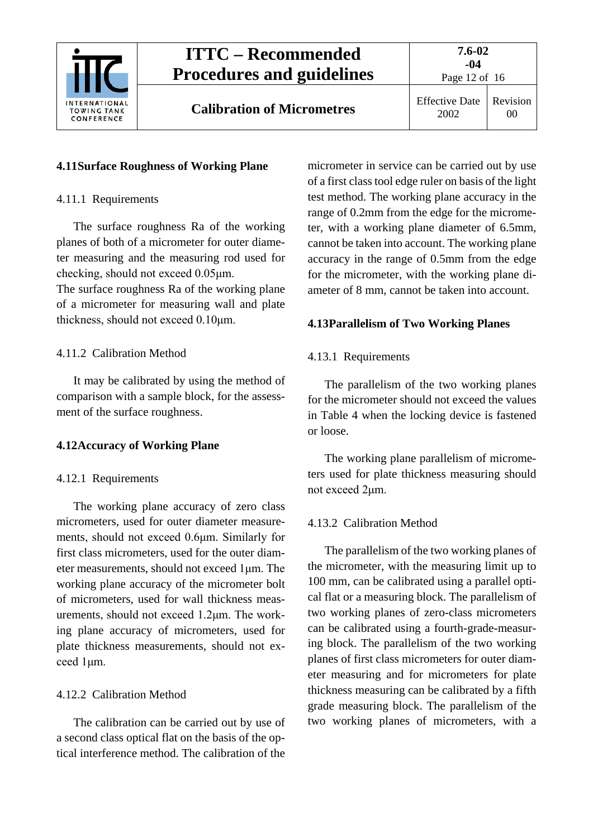

2002 Revision 00

Page 12 of 16

# <span id="page-11-1"></span><span id="page-11-0"></span>**4.11Surface Roughness of Working Plane**

## 4.11.1 Requirements

The surface roughness Ra of the working planes of both of a micrometer for outer diameter measuring and the measuring rod used for checking, should not exceed 0.05μm.

The surface roughness Ra of the working plane of a micrometer for measuring wall and plate thickness, should not exceed 0.10μm.

## <span id="page-11-2"></span>4.11.2 Calibration Method

It may be calibrated by using the method of comparison with a sample block, for the assessment of the surface roughness.

# <span id="page-11-4"></span><span id="page-11-3"></span>**4.12Accuracy of Working Plane**

### 4.12.1 Requirements

The working plane accuracy of zero class micrometers, used for outer diameter measurements, should not exceed 0.6μm. Similarly for first class micrometers, used for the outer diameter measurements, should not exceed 1μm. The working plane accuracy of the micrometer bolt of micrometers, used for wall thickness measurements, should not exceed 1.2μm. The working plane accuracy of micrometers, used for plate thickness measurements, should not exceed 1μm.

# <span id="page-11-5"></span>4.12.2 Calibration Method

The calibration can be carried out by use of a second class optical flat on the basis of the optical interference method. The calibration of the

micrometer in service can be carried out by use of a first class tool edge ruler on basis of the light test method. The working plane accuracy in the range of 0.2mm from the edge for the micrometer, with a working plane diameter of 6.5mm, cannot be taken into account. The working plane accuracy in the range of 0.5mm from the edge for the micrometer, with the working plane diameter of 8 mm, cannot be taken into account.

# <span id="page-11-7"></span><span id="page-11-6"></span>**4.13Parallelism of Two Working Planes**

# 4.13.1 Requirements

The parallelism of the two working planes for the micrometer should not exceed the values in Table 4 when the locking device is fastened or loose.

The working plane parallelism of micrometers used for plate thickness measuring should not exceed 2μm.

# <span id="page-11-8"></span>4.13.2 Calibration Method

The parallelism of the two working planes of the micrometer, with the measuring limit up to 100 mm, can be calibrated using a parallel optical flat or a measuring block. The parallelism of two working planes of zero-class micrometers can be calibrated using a fourth-grade-measuring block. The parallelism of the two working planes of first class micrometers for outer diameter measuring and for micrometers for plate thickness measuring can be calibrated by a fifth grade measuring block. The parallelism of the two working planes of micrometers, with a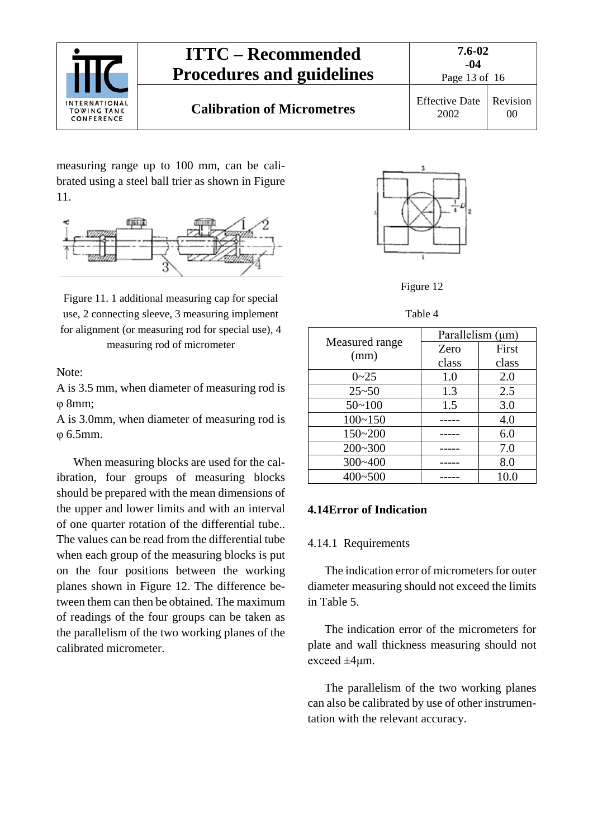

measuring range up to 100 mm, can be calibrated using a steel ball trier as shown in Figure 11.



Figure 11. 1 additional measuring cap for special use, 2 connecting sleeve, 3 measuring implement for alignment (or measuring rod for special use), 4 measuring rod of micrometer

Note:

A is 3.5 mm, when diameter of measuring rod is φ 8mm;

A is 3.0mm, when diameter of measuring rod is φ 6.5mm.

When measuring blocks are used for the calibration, four groups of measuring blocks should be prepared with the mean dimensions of the upper and lower limits and with an interval of one quarter rotation of the differential tube.. The values can be read from the differential tube when each group of the measuring blocks is put on the four positions between the working planes shown in Figure 12. The difference between them can then be obtained. The maximum of readings of the four groups can be taken as the parallelism of the two working planes of the calibrated micrometer.



Figure 12

Table 4

|                | Parallelism (µm) |       |  |
|----------------|------------------|-------|--|
| Measured range | Zero             | First |  |
| (mm)           | class            | class |  |
| $0 - 25$       | 1.0              | 2.0   |  |
| $25 - 50$      | 1.3              | 2.5   |  |
| $50 - 100$     | 1.5              | 3.0   |  |
| $100 - 150$    |                  | 4.0   |  |
| $150 - 200$    |                  | 6.0   |  |
| $200 - 300$    |                  | 7.0   |  |
| $300 - 400$    |                  | 8.0   |  |
| $400 - 500$    |                  | 10.0  |  |

#### <span id="page-12-1"></span><span id="page-12-0"></span>**4.14Error of Indication**

#### 4.14.1 Requirements

The indication error of micrometers for outer diameter measuring should not exceed the limits in Table 5.

The indication error of the micrometers for plate and wall thickness measuring should not exceed ±4μm.

The parallelism of the two working planes can also be calibrated by use of other instrumentation with the relevant accuracy.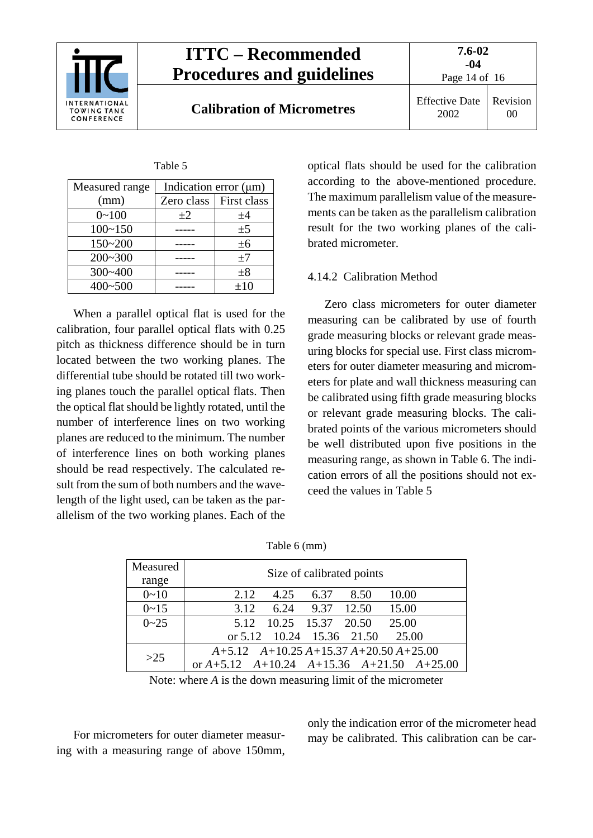

**Calibration of Micrometres** Effective Date

2002 Revision 00

Page 14 of 16

| anti |  |
|------|--|
|      |  |

| Measured range | Indication error $(\mu m)$ |             |
|----------------|----------------------------|-------------|
| (mm)           | Zero class                 | First class |
| $0 - 100$      | $+2$                       | ±4          |
| $100 - 150$    |                            | ±5          |
| 150~200        |                            | ±6          |
| $200 - 300$    |                            | ±7          |
| 300~400        |                            | $\pm 8$     |
| 400~500        |                            | $\pm 10$    |

When a parallel optical flat is used for the calibration, four parallel optical flats with 0.25 pitch as thickness difference should be in turn located between the two working planes. The differential tube should be rotated till two working planes touch the parallel optical flats. Then the optical flat should be lightly rotated, until the number of interference lines on two working planes are reduced to the minimum. The number of interference lines on both working planes should be read respectively. The calculated result from the sum of both numbers and the wavelength of the light used, can be taken as the parallelism of the two working planes. Each of the optical flats should be used for the calibration according to the above-mentioned procedure. The maximum parallelism value of the measurements can be taken as the parallelism calibration result for the two working planes of the calibrated micrometer.

#### <span id="page-13-0"></span>4.14.2 Calibration Method

Zero class micrometers for outer diameter measuring can be calibrated by use of fourth grade measuring blocks or relevant grade measuring blocks for special use. First class micrometers for outer diameter measuring and micrometers for plate and wall thickness measuring can be calibrated using fifth grade measuring blocks or relevant grade measuring blocks. The calibrated points of the various micrometers should be well distributed upon five positions in the measuring range, as shown in Table 6. The indication errors of all the positions should not exceed the values in Table 5

| Measured<br>range | Size of calibrated points                           |
|-------------------|-----------------------------------------------------|
| $0 - 10$          | 4.25 6.37<br>10.00<br>2.12<br>8.50                  |
| $0 - 15$          | 3.12 6.24 9.37 12.50 15.00                          |
| $0 - 25$          | 5.12 10.25 15.37 20.50 25.00                        |
|                   | or $5.12$ 10.24 15.36 21.50 25.00                   |
| >25               | $A+5.12$ $A+10.25A+15.37A+20.50A+25.00$             |
|                   | or $A+5.12$ $A+10.24$ $A+15.36$ $A+21.50$ $A+25.00$ |

| Table 6 (mm) |  |  |
|--------------|--|--|
|--------------|--|--|

Note: where *A* is the down measuring limit of the micrometer

For micrometers for outer diameter measuring with a measuring range of above 150mm, only the indication error of the micrometer head may be calibrated. This calibration can be car-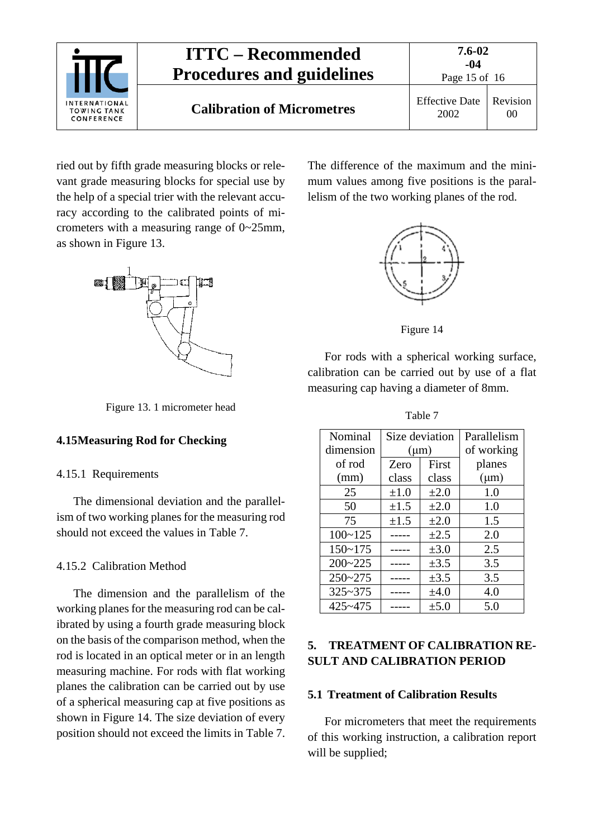

ried out by fifth grade measuring blocks or relevant grade measuring blocks for special use by the help of a special trier with the relevant accuracy according to the calibrated points of micrometers with a measuring range of 0~25mm, as shown in Figure 13.



Figure 13. 1 micrometer head

#### <span id="page-14-1"></span><span id="page-14-0"></span>**4.15Measuring Rod for Checking**

#### 4.15.1 Requirements

The dimensional deviation and the parallelism of two working planes for the measuring rod should not exceed the values in Table 7.

#### <span id="page-14-2"></span>4.15.2 Calibration Method

The dimension and the parallelism of the working planes for the measuring rod can be calibrated by using a fourth grade measuring block on the basis of the comparison method, when the rod is located in an optical meter or in an length measuring machine. For rods with flat working planes the calibration can be carried out by use of a spherical measuring cap at five positions as shown in Figure 14. The size deviation of every position should not exceed the limits in Table 7. The difference of the maximum and the minimum values among five positions is the parallelism of the two working planes of the rod.



Figure 14

For rods with a spherical working surface, calibration can be carried out by use of a flat measuring cap having a diameter of 8mm.

Table 7

| Nominal     | Size deviation |           | Parallelism |
|-------------|----------------|-----------|-------------|
| dimension   | $(\mu m)$      |           | of working  |
| of rod      | Zero           | First     | planes      |
| (mm)        | class          | class     | $(\mu m)$   |
| 25          | $\pm 1.0$      | $\pm 2.0$ | 1.0         |
| 50          | $\pm 1.5$      | $\pm 2.0$ | 1.0         |
| 75          | $\pm 1.5$      | $\pm 2.0$ | 1.5         |
| $100 - 125$ |                | $\pm 2.5$ | 2.0         |
| $150 - 175$ |                | $\pm 3.0$ | 2.5         |
| $200 - 225$ |                | $\pm 3.5$ | 3.5         |
| $250 - 275$ |                | $\pm 3.5$ | 3.5         |
| $325 - 375$ |                | $\pm 4.0$ | 4.0         |
| 425~475     |                | $\pm 5.0$ | 5.0         |

### <span id="page-14-3"></span>**5. TREATMENT OF CALIBRATION RE-SULT AND CALIBRATION PERIOD**

#### <span id="page-14-4"></span>**5.1 Treatment of Calibration Results**

For micrometers that meet the requirements of this working instruction, a calibration report will be supplied;